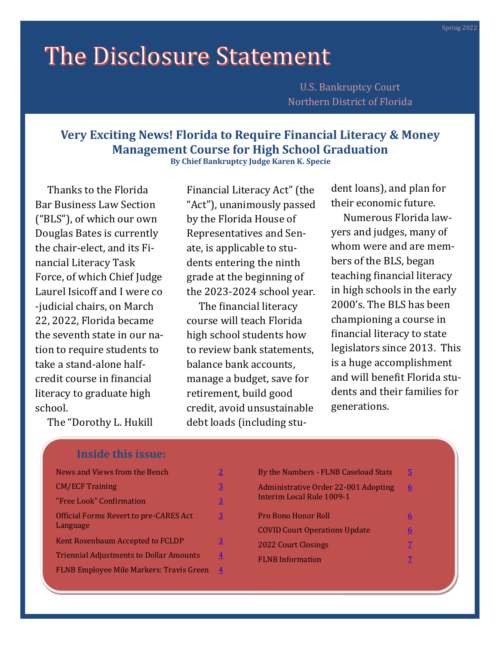# The Disclosure Statement

U.S. Bankruptcy Court Northern District of Florida

# **Very Exciting News! Florida to Require Financial Literacy & Money Management Course for High School Graduation**

**By Chief Bankruptcy Judge Karen K. Specie**

 Thanks to the Florida Bar Business Law Section ("BLS"), of which our own Douglas Bates is currently the chair-elect, and its Financial Literacy Task Force, of which Chief Judge Laurel Isicoff and I were co -judicial chairs, on March 22, 2022, Florida became the seventh state in our nation to require students to take a stand-alone halfcredit course in financial literacy to graduate high school.

Financial Literacy Act" (the "Act"), unanimously passed by the Florida House of Representatives and Senate, is applicable to students entering the ninth grade at the beginning of the 2023-2024 school year.

 The financial literacy course will teach Florida high school students how to review bank statements, balance bank accounts, manage a budget, save for retirement, build good credit, avoid unsustainable debt loads (including student loans), and plan for their economic future.

 Numerous Florida lawyers and judges, many of whom were and are members of the BLS, began teaching financial literacy in high schools in the early 2000's. The BLS has been championing a course in financial literacy to state legislators since 2013. This is a huge accomplishment and will benefit Florida students and their families for generations.

The "Dorothy L. Hukill

## **Inside this issue:**

| News and Views from the Bench                             |   |
|-----------------------------------------------------------|---|
| <b>CM/ECF Training</b>                                    | 3 |
| "Free Look" Confirmation                                  | 3 |
| <b>Official Forms Revert to pre-CARES Act</b><br>Language | 3 |
| Kent Rosenbaum Accepted to FCLDP                          | 3 |
| <b>Triennial Adjustments to Dollar Amounts</b>            | 4 |
| <b>FLNB Employee Mile Markers: Travis Green</b>           | 4 |
|                                                           |   |

| By the Numbers - FLNB Caseload Stats                              | 5 |
|-------------------------------------------------------------------|---|
| Administrative Order 22-001 Adopting<br>Interim Local Rule 1009-1 | 6 |
| Pro Bono Honor Roll                                               |   |
| <b>COVID Court Operations Update</b>                              | 6 |
| <b>2022 Court Closings</b>                                        |   |
| <b>FLNB</b> Information                                           |   |
|                                                                   |   |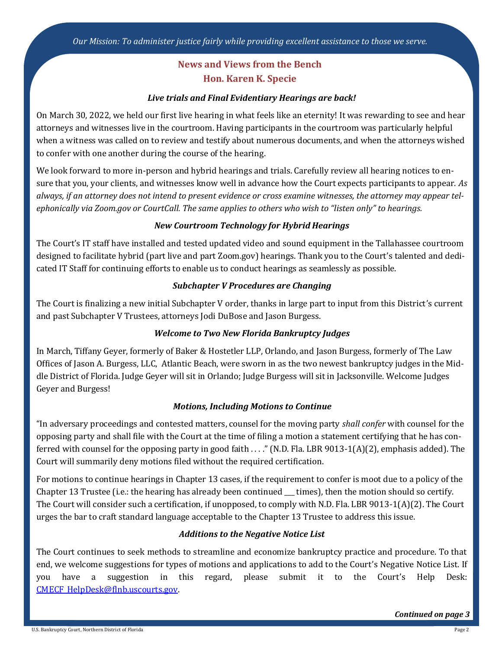## **News and Views from the Bench Hon. Karen K. Specie**

## *Live trials and Final Evidentiary Hearings are back!*

<span id="page-1-0"></span>On March 30, 2022, we held our first live hearing in what feels like an eternity! It was rewarding to see and hear attorneys and witnesses live in the courtroom. Having participants in the courtroom was particularly helpful when a witness was called on to review and testify about numerous documents, and when the attorneys wished to confer with one another during the course of the hearing.

We look forward to more in-person and hybrid hearings and trials. Carefully review all hearing notices to ensure that you, your clients, and witnesses know well in advance how the Court expects participants to appear. *As always, if an attorney does not intend to present evidence or cross examine witnesses, the attorney may appear telephonically via Zoom.gov or CourtCall. The same applies to others who wish to "listen only" to hearings.*

## *New Courtroom Technology for Hybrid Hearings*

The Court's IT staff have installed and tested updated video and sound equipment in the Tallahassee courtroom designed to facilitate hybrid (part live and part Zoom.gov) hearings. Thank you to the Court's talented and dedicated IT Staff for continuing efforts to enable us to conduct hearings as seamlessly as possible.

## *Subchapter V Procedures are Changing*

The Court is finalizing a new initial Subchapter V order, thanks in large part to input from this District's current and past Subchapter V Trustees, attorneys Jodi DuBose and Jason Burgess.

## *Welcome to Two New Florida Bankruptcy Judges*

In March, Tiffany Geyer, formerly of Baker & Hostetler LLP, Orlando, and Jason Burgess, formerly of The Law Offices of Jason A. Burgess, LLC, Atlantic Beach, were sworn in as the two newest bankruptcy judges in the Middle District of Florida. Judge Geyer will sit in Orlando; Judge Burgess will sit in Jacksonville. Welcome Judges Geyer and Burgess!

#### *Motions, Including Motions to Continue*

"In adversary proceedings and contested matters, counsel for the moving party *shall confer* with counsel for the opposing party and shall file with the Court at the time of filing a motion a statement certifying that he has conferred with counsel for the opposing party in good faith . . . ." (N.D. Fla. LBR 9013-1(A)(2), emphasis added). The Court will summarily deny motions filed without the required certification.

For motions to continue hearings in Chapter 13 cases, if the requirement to confer is moot due to a policy of the Chapter 13 Trustee (i.e.: the hearing has already been continued \_\_\_ times), then the motion should so certify. The Court will consider such a certification, if unopposed, to comply with N.D. Fla. LBR 9013-1(A)(2). The Court urges the bar to craft standard language acceptable to the Chapter 13 Trustee to address this issue.

#### *Additions to the Negative Notice List*

The Court continues to seek methods to streamline and economize bankruptcy practice and procedure. To that end, we welcome suggestions for types of motions and applications to add to the Court's Negative Notice List. If you have a suggestion in this regard, please submit it to the Court's Help Desk: [CMECF\\_HelpDesk@flnb.uscourts.gov.](mailto:CMECF_HelpDesk@flnb.uscourts.gov)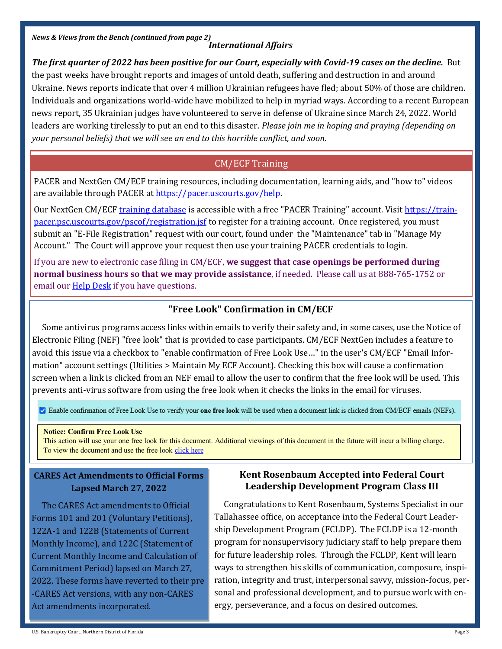<span id="page-2-0"></span>*News & Views from the Bench (continued from page 2)*

## *International Affairs*

*The first quarter of 2022 has been positive for our Court, especially with Covid-19 cases on the decline.* But the past weeks have brought reports and images of untold death, suffering and destruction in and around Ukraine. News reports indicate that over 4 million Ukrainian refugees have fled; about 50% of those are children. Individuals and organizations world-wide have mobilized to help in myriad ways. According to a recent European news report, 35 Ukrainian judges have volunteered to serve in defense of Ukraine since March 24, 2022. World leaders are working tirelessly to put an end to this disaster. *Please join me in hoping and praying (depending on your personal beliefs) that we will see an end to this horrible conflict, and soon.*

## CM/ECF Training

PACER and NextGen CM/ECF training resources, including documentation, learning aids, and "how to" videos are available through PACER at [https://pacer.uscourts.gov/help.](https://pacer.uscourts.gov/help) 

Our NextGen CM/ECF [training database](https://ecf-train.flnb.uscourts.gov/) is accessible with a free "PACER Training" account. Visit [https://train](https://train-pacer.psc.uscourts.gov/pscof/registration.jsf)[pacer.psc.uscourts.gov/pscof/registration.jsf](https://train-pacer.psc.uscourts.gov/pscof/registration.jsf) to register for a training account. Once registered, you must submit an "E-File Registration" request with our court, found under the "Maintenance" tab in "Manage My Account." The Court will approve your request then use your training PACER credentials to login.

If you are new to electronic case filing in CM/ECF, **we suggest that case openings be performed during normal business hours so that we may provide assistance**, if needed. Please call us at 888-765-1752 or email our **Help Desk** if you have questions.

## **"Free Look" Confirmation in CM/ECF**

 Some antivirus programs access links within emails to verify their safety and, in some cases, use the Notice of Electronic Filing (NEF) "free look" that is provided to case participants. CM/ECF NextGen includes a feature to avoid this issue via a checkbox to "enable confirmation of Free Look Use…" in the user's CM/ECF "Email Information" account settings (Utilities > Maintain My ECF Account). Checking this box will cause a confirmation screen when a link is clicked from an NEF email to allow the user to confirm that the free look will be used. This prevents anti-virus software from using the free look when it checks the links in the email for viruses.

Enable confirmation of Free Look Use to verify your one free look will be used when a document link is clicked from CM/ECF emails (NEFs).

#### **Notice: Confirm Free Look Use**

This action will use your one free look for this document. Additional viewings of this document in the future will incur a billing charge. To view the document and use the free look click here

## **CARES Act Amendments to Official Forms Lapsed March 27, 2022**

 The CARES Act amendments to Official Forms 101 and 201 (Voluntary Petitions), 122A-1 and 122B (Statements of Current Monthly Income), and 122C (Statement of Current Monthly Income and Calculation of Commitment Period) lapsed on March 27, 2022. These forms have reverted to their pre -CARES Act versions, with any non-CARES Act amendments incorporated.

## **Kent Rosenbaum Accepted into Federal Court Leadership Development Program Class III**

 Congratulations to Kent Rosenbaum, Systems Specialist in our Tallahassee office, on acceptance into the Federal Court Leadership Development Program (FCLDP). The FCLDP is a 12-month program for nonsupervisory judiciary staff to help prepare them for future leadership roles. Through the FCLDP, Kent will learn ways to strengthen his skills of communication, composure, inspiration, integrity and trust, interpersonal savvy, mission-focus, personal and professional development, and to pursue work with energy, perseverance, and a focus on desired outcomes.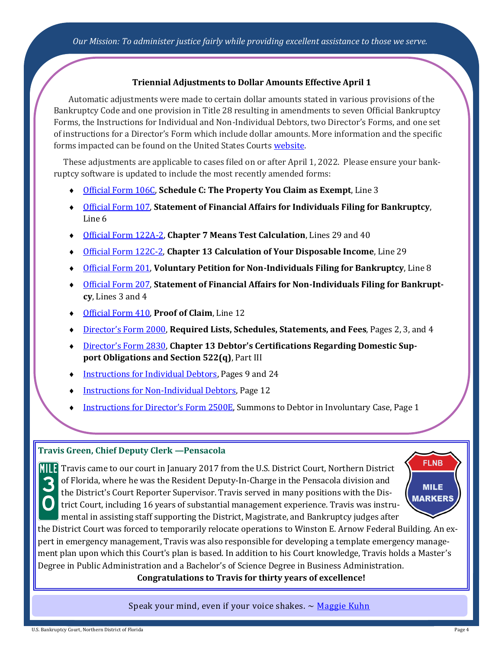#### **Triennial Adjustments to Dollar Amounts Effective April 1**

<span id="page-3-0"></span>Automatic adjustments were made to certain dollar amounts stated in various provisions of the Bankruptcy Code and one provision in Title 28 resulting in amendments to seven Official Bankruptcy Forms, the Instructions for Individual and Non-Individual Debtors, two Director's Forms, and one set of instructions for a Director's Form which include dollar amounts. More information and the specific forms impacted can be found on the United States Courts [website.](https://www.uscourts.gov/rules-policies/pending-rules-and-forms-amendments/pending-changes-bankruptcy-forms)

 These adjustments are applicable to cases filed on or after April 1, 2022. Please ensure your bankruptcy software is updated to include the most recently amended forms:

- [Official Form 106C,](https://www.uscourts.gov/sites/default/files/forms_and_instructions/B_106C_0422.pdf) **Schedule C: The Property You Claim as Exempt**, Line 3
- [Official Form 107,](https://www.uscourts.gov/sites/default/files/B_107_0422.pdf) **Statement of Financial Affairs for Individuals Filing for Bankruptcy**, Line 6
- [Official Form 122A](https://www.uscourts.gov/sites/default/files/B_122A-2_0422.pdf)-2, **Chapter 7 Means Test Calculation**, Lines 29 and 40
- [Official Form 122C](https://www.uscourts.gov/sites/default/files/forms_and_instructions/B_122C-2_0422.pdf)-2, **Chapter 13 Calculation of Your Disposable Income**, Line 29
- [Official Form 201,](https://www.uscourts.gov/sites/default/files/official_form_201_0.pdf) **Voluntary Petition for Non-Individuals Filing for Bankruptcy**, Line 8
- [Official Form 207,](https://www.uscourts.gov/sites/default/files/forms_and_instructions/B_207_0422.pdf) **Statement of Financial Affairs for Non-Individuals Filing for Bankruptcy**, Lines 3 and 4
- [Official Form 410,](https://www.uscourts.gov/sites/default/files/B_410_0422.pdf) **Proof of Claim**, Line 12
- Director'[s Form 2000,](https://www.uscourts.gov/sites/default/files/b_2000.pdf) **Required Lists, Schedules, Statements, and Fees**, Pages 2, 3, and 4
- Director'[s Form 2830,](https://www.uscourts.gov/sites/default/files/Form%202830_0422.pdf) **Chapter 13 Debtor's Certifications Regarding Domestic Support Obligations and Section 522(q)**, Part III
- [Instructions for Individual Debtors,](https://www.uscourts.gov/sites/default/files/forms_and_instructions/Instructions-Individuals--2022-04.pdf) Pages 9 and 24
- [Instructions for Non](https://www.uscourts.gov/sites/default/files/forms_and_instructions/Instructions-Non-Individuals--2022-04.pdf)-Individual Debtors, Page 12
- [Instructions for Director](https://www.uscourts.gov/sites/default/files/forms_and_instructions/Instructions%20Form%202500E_0422.pdf)'s Form 2500E, Summons to Debtor in Involuntary Case, Page 1

#### **Travis Green, Chief Deputy Clerk —Pensacola**

Travis came to our court in January 2017 from the U.S. District Court, Northern District of Florida, where he was the Resident Deputy-In-Charge in the Pensacola division and the District's Court Reporter Supervisor. Travis served in many positions with the District Court, including 16 years of substantial management experience. Travis was instrumental in assisting staff supporting the District, Magistrate, and Bankruptcy judges after



the District Court was forced to temporarily relocate operations to Winston E. Arnow Federal Building. An expert in emergency management, Travis was also responsible for developing a template emergency management plan upon which this Court's plan is based. In addition to his Court knowledge, Travis holds a Master's Degree in Public Administration and a Bachelor's of Science Degree in Business Administration.

**Congratulations to Travis for thirty years of excellence!**

Speak your mind, even if your voice shakes.  $\sim$  [Maggie Kuhn](https://www.britannica.com/biography/Maggie-Kuhn)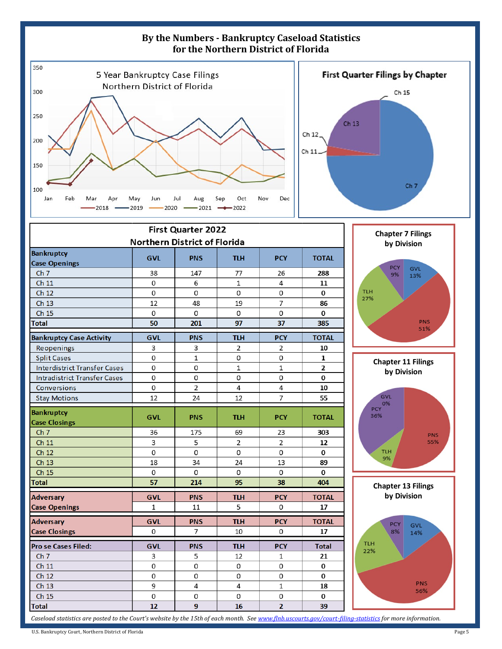<span id="page-4-0"></span>

*Caseload statistics are posted to the Court's website by the 15th of each month. See [www.flnb.uscourts.gov/court](https://www.flnb.uscourts.gov/court-filing-statistics)-filing-statistics for more information.*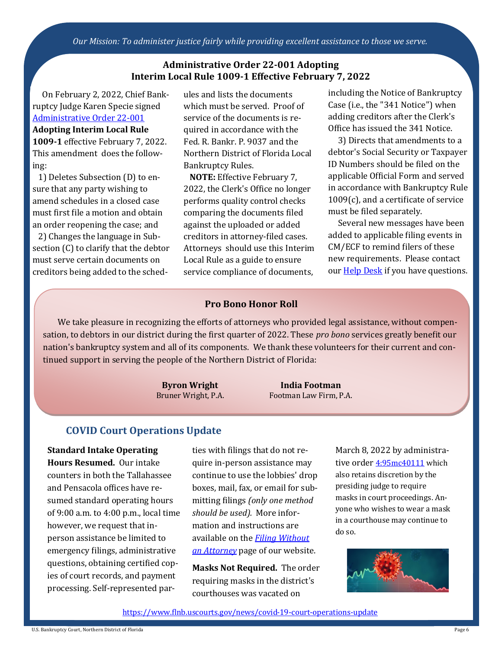<span id="page-5-0"></span>*Our Mission: To administer justice fairly while providing excellent assistance to those we serve.*

#### **Administrative Order 22-001 Adopting Interim Local Rule 1009-1 Effective February 7, 2022**

 On February 2, 2022, Chief Bankruptcy Judge Karen Specie signed [Administrative Order 22](https://www.flnb.uscourts.gov/sites/flnb/files/general-orders/ao22-001.pdf)-001

#### **Adopting Interim Local Rule**

**1009-1** effective February 7, 2022. This amendment does the following:

 1) Deletes Subsection (D) to ensure that any party wishing to amend schedules in a closed case must first file a motion and obtain an order reopening the case; and

 2) Changes the language in Subsection (C) to clarify that the debtor must serve certain documents on creditors being added to the schedules and lists the documents which must be served. Proof of service of the documents is required in accordance with the Fed. R. Bankr. P. 9037 and the Northern District of Florida Local Bankruptcy Rules.

 **NOTE:** Effective February 7, 2022, the Clerk's Office no longer performs quality control checks comparing the documents filed against the uploaded or added creditors in attorney-filed cases. Attorneys should use this Interim Local Rule as a guide to ensure service compliance of documents,

including the Notice of Bankruptcy Case (i.e., the "341 Notice") when adding creditors after the Clerk's Office has issued the 341 Notice.

 3) Directs that amendments to a debtor's Social Security or Taxpayer ID Numbers should be filed on the applicable Official Form and served in accordance with Bankruptcy Rule 1009(c), and a certificate of service must be filed separately.

 Several new messages have been added to applicable filing events in CM/ECF to remind filers of these new requirements. Please contact our **Help Desk** if you have questions.

#### **Pro Bono Honor Roll**

We take pleasure in recognizing the efforts of attorneys who provided legal assistance, without compensation, to debtors in our district during the first quarter of 2022. These *pro bono* services greatly benefit our nation's bankruptcy system and all of its components. We thank these volunteers for their current and continued support in serving the people of the Northern District of Florida:

> **Byron Wright** Bruner Wright, P.A.

**India Footman** Footman Law Firm, P.A.

## **COVID Court Operations Update**

**Standard Intake Operating Hours Resumed.** Our intake counters in both the Tallahassee and Pensacola offices have resumed standard operating hours of 9:00 a.m. to 4:00 p.m., local time however, we request that inperson assistance be limited to emergency filings, administrative questions, obtaining certified copies of court records, and payment processing. Self-represented parties with filings that do not require in-person assistance may continue to use the lobbies' drop boxes, mail, fax, or email for submitting filings *(only one method should be used).* More information and instructions are available on the *[Filing Without](https://www.flnb.uscourts.gov/filing-without-attorney#:~:text=%C2%A0-,Electronic%20Filing%20Policy%20for%20Self%2DRepresented%20Debtors,-The%20U.S)  [an Attorney](https://www.flnb.uscourts.gov/filing-without-attorney#:~:text=%C2%A0-,Electronic%20Filing%20Policy%20for%20Self%2DRepresented%20Debtors,-The%20U.S)* page of our website.

**Masks Not Required.** The order requiring masks in the district's courthouses was vacated on

March 8, 2022 by administrative order [4:95mc40111](https://www.flnb.uscourts.gov/sites/flnb/files/general-orders/DCOrder3-8-2022_Doc401_RescindingMaskRqmt.pdf) which also retains discretion by the presiding judge to require masks in court proceedings. Anyone who wishes to wear a mask in a courthouse may continue to do so.



[https://www.flnb.uscourts.gov/news/covid](https://www.flnb.uscourts.gov/news/covid-19-court-operations-update)-19-court-operations-update